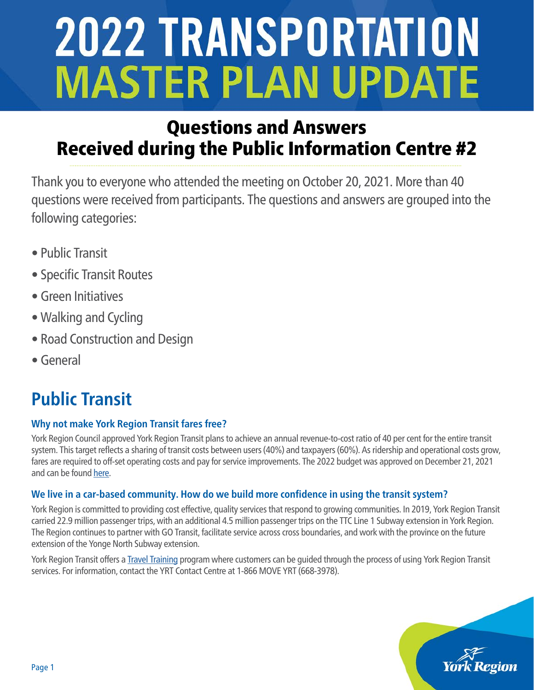# Questions and Answers Received during the Public Information Centre #2

Thank you to everyone who attended the meeting on October 20, 2021. More than 40 questions were received from participants. The questions and answers are grouped into the following categories:

- Public Transit
- Specific Transit Routes
- Green Initiatives
- Walking and Cycling
- Road Construction and Design
- General

# **Public Transit**

## **Why not make York Region Transit fares free?**

York Region Council approved York Region Transit plans to achieve an annual revenue-to-cost ratio of 40 per cent for the entire transit system. This target reflects a sharing of transit costs between users (40%) and taxpayers (60%). As ridership and operational costs grow, fares are required to off-set operating costs and pay for service improvements. The 2022 budget was approved on December 21, 2021 and can be found [here.](https://www.york.ca/wps/wcm/connect/yorkpublic/05275c12-6802-46ce-823a-e25d3be8cb79/2022+Tabled+Budget+Book+%28WEB%29+reduced+v2.pdf?MOD=AJPERES&CVID=nRntZH2))

## **We live in a car-based community. How do we build more confidence in using the transit system?**

York Region is committed to providing cost effective, quality services that respond to growing communities. In 2019, York Region Transit carried 22.9 million passenger trips, with an additional 4.5 million passenger trips on the TTC Line 1 Subway extension in York Region. The Region continues to partner with GO Transit, facilitate service across cross boundaries, and work with the province on the future extension of the Yonge North Subway extension.

York Region Transit offers a **Travel Training program where customers can be guided through the process of using York Region Transit** services. For information, contact the YRT Contact Centre at 1-866 MOVE YRT (668-3978)[.](https://427expansion.ca/opening-updates/  )

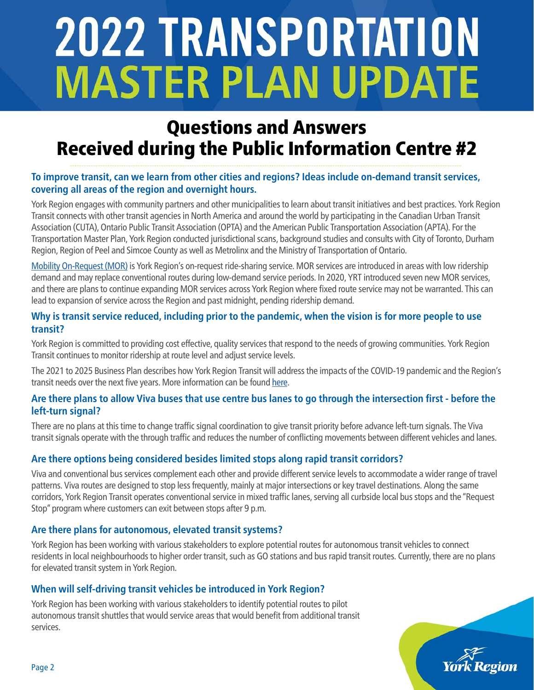## Questions and Answers Received during the Public Information Centre #2

### **To improve transit, can we learn from other cities and regions? Ideas include on-demand transit services, covering all areas of the region and overnight hours.**

York Region engages with community partners and other municipalities to learn about transit initiatives and best practices. York Region Transit connects with other transit agencies in North America and around the world by participating in the Canadian Urban Transit Association (CUTA), Ontario Public Transit Association (OPTA) and the American Public Transportation Association (APTA). For the Transportation Master Plan, York Region conducted jurisdictional scans, background studies and consults with City of Toronto, Durham Region, Region of Peel and Simcoe County as well as Metrolinx and the Ministry of Transportation of Ontario.

[Mobility On-Request \(MOR\)](https://www.yrt.ca/en/our-services/mobility-on-request.aspx) is York Region's on-request ride-sharing service. MOR services are introduced in areas with low ridership demand and may replace conventional routes during low-demand service periods. In 2020, YRT introduced seven new MOR services, and there are plans to continue expanding MOR services across York Region where fixed route service may not be warranted. This can lead to expansion of service across the Region and past midnight, pending ridership demand.

#### **Why is transit service reduced, including prior to the pandemic, when the vision is for more people to use transit?**

York Region is committed to providing cost effective, quality services that respond to the needs of growing communities. York Region Transit continues to monitor ridership at route level and adjust service levels.

The 2021 to 2025 Business Plan describes how York Region Transit will address the impacts of the COVID-19 pandemic and the Region's transit needs over the next five years. More information can be found [here.](https://www.yrt.ca/en/about-us/resources/2021-2025_YRT_Business_Plan_web.pdf)

#### **Are there plans to allow Viva buses that use centre bus lanes to go through the intersection first - before the left-turn signal?**

There are no plans at this time to change traffic signal coordination to give transit priority before advance left-turn signals. The Viva transit signals operate with the through traffic and reduces the number of conflicting movements between different vehicles and lanes.

## **Are there options being considered besides limited stops along rapid transit corridors?**

Viva and conventional bus services complement each other and provide different service levels to accommodate a wider range of travel patterns. Viva routes are designed to stop less frequently, mainly at major intersections or key travel destinations. Along the same corridors, York Region Transit operates conventional service in mixed traffic lanes, serving all curbside local bus stops and the "Request Stop" program where customers can exit between stops after 9 p.m.

#### **Are there plans for autonomous, elevated transit systems?**

York Region has been working with various stakeholders to explore potential routes for autonomous transit vehicles to connect residents in local neighbourhoods to higher order transit, such as GO stations and bus rapid transit routes. Currently, there are no plans for elevated transit system in York Region.

#### **When will self-driving transit vehicles be introduced in York Region?**

York Region has been working with various stakeholders to identify potential routes to pilot autonomous transit shuttles that would service areas that would benefit from additional transit services.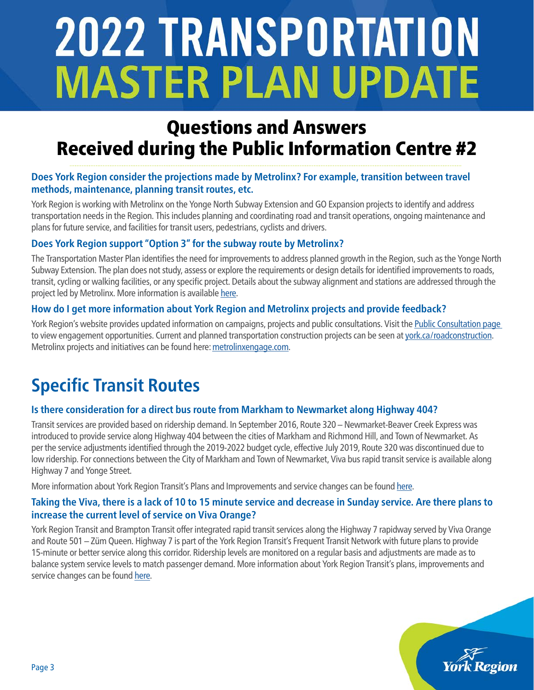## Questions and Answers Received during the Public Information Centre #2

#### **Does York Region consider the projections made by Metrolinx? For example, transition between travel methods, maintenance, planning transit routes, etc.**

York Region is working with Metrolinx on the Yonge North Subway Extension and GO Expansion projects to identify and address transportation needs in the Region. This includes planning and coordinating road and transit operations, ongoing maintenance and plans for future service, and facilities for transit users, pedestrians, cyclists and drivers.

### **Does York Region support "Option 3" for the subway route by Metrolinx?**

The Transportation Master Plan identifies the need for improvements to address planned growth in the Region, such as the Yonge North Subway Extension. The plan does not study, assess or explore the requirements or design details for identified improvements to roads, transit, cycling or walking facilities, or any specific project. Details about the subway alignment and stations are addressed through the project led by Metrolinx. More information is available [here.](https://www.metrolinx.com/en/greaterregion/projects/yonge-subway-extension.aspx)

#### **How do I get more information about York Region and Metrolinx projects and provide feedback?**

York Region's website provides updated information on campaigns, projects and public consultations. Visit the [Public Consultation page](https://www.york.ca/wps/portal/yorkhome/newsroom/Public-Consultations/)  to view engagement opportunities. Current and planned transportation construction projects can be seen at [york.ca/roadconstruction.](https://www.york.ca/wps/portal/yorkhome/transportation/yr/roads/roadconstructionschedule/roadimprovementandconstructionprojects/) Metrolinx projects and initiatives can be found here: [metrolinxengage.com.](https://www.metrolinxengage.com/en)

## **Specific Transit Routes**

#### **Is there consideration for a direct bus route from Markham to Newmarket along Highway 404?**

Transit services are provided based on ridership demand. In September 2016, Route 320 – Newmarket-Beaver Creek Express was introduced to provide service along Highway 404 between the cities of Markham and Richmond Hill, and Town of Newmarket. As per the service adjustments identified through the 2019-2022 budget cycle, effective July 2019, Route 320 was discontinued due to low ridership. For connections between the City of Markham and Town of Newmarket, Viva bus rapid transit service is available along Highway 7 and Yonge Street.

More information about York Region Transit's Plans and Improvements and service changes can be found [here.](https://www.yrt.ca/en/about-us/service-plans.aspx)

#### **Taking the Viva, there is a lack of 10 to 15 minute service and decrease in Sunday service. Are there plans to increase the current level of service on Viva Orange?**

York Region Transit and Brampton Transit offer integrated rapid transit services along the Highway 7 rapidway served by Viva Orange and Route 501 – Züm Queen. Highway 7 is part of the York Region Transit's Frequent Transit Network with future plans to provide 15-minute or better service along this corridor. Ridership levels are monitored on a regular basis and adjustments are made as to balance system service levels to match passenger demand. More information about York Region Transit's plans, improvements and service changes can be found [here.](https://www.yrt.ca/en/about-us/service-plans.aspx)

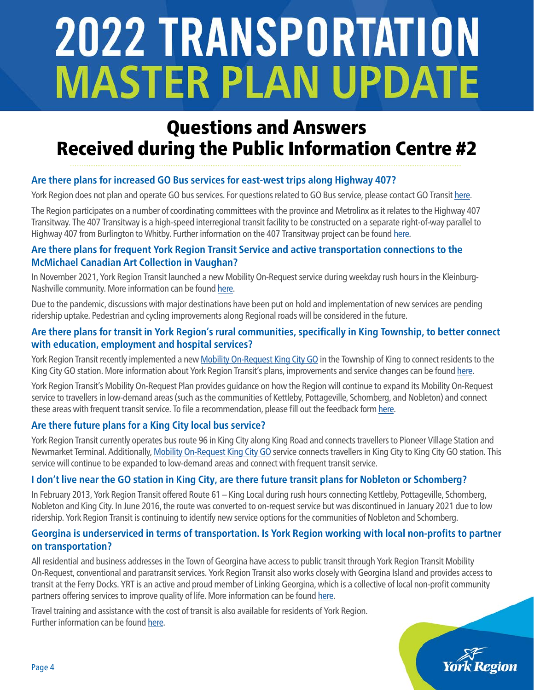## Questions and Answers Received during the Public Information Centre #2

## **Are there plans for increased GO Bus services for east-west trips along Highway 407?**

York Region does not plan and operate GO bus services. For questions related to GO Bus service, please contact GO Transit [here](https://www.gotransit.com/en/contact-us).

The Region participates on a number of coordinating committees with the province and Metrolinx as it relates to the Highway 407 Transitway. The 407 Transitway is a high-speed interregional transit facility to be constructed on a separate right-of-way parallel to Highway 407 from Burlington to Whitby. Further information on the 407 Transitway project can be found [here](https://407transitway.com/).

#### **Are there plans for frequent York Region Transit Service and active transportation connections to the McMichael Canadian Art Collection in Vaughan?**

In November 2021, York Region Transit launched a new Mobility On-Request service during weekday rush hours in the Kleinburg-Nashville community. More information can be found [here](https://www.yrt.ca/en/our-services/mobility-on-request-kleinburg-nashville.aspx).

Due to the pandemic, discussions with major destinations have been put on hold and implementation of new services are pending ridership uptake. Pedestrian and cycling improvements along Regional roads will be considered in the future.

#### **Are there plans for transit in York Region's rural communities, specifically in King Township, to better connect with education, employment and hospital services?**

York Region Transit recently implemented a new [Mobility On-Request King City GO](https://www.yrt.ca/en/our-services/mobility-on-request-king-city-go.aspx) in the Township of King to connect residents to the King City GO station. More information about York Region Transit's plans, improvements and service changes can be found [here.](https://www.yrt.ca/en/about-us/service-plans.aspx)

York Region Transit's Mobility On-Request Plan provides guidance on how the Region will continue to expand its Mobility On-Request service to travellers in low-demand areas (such as the communities of Kettleby, Pottageville, Schomberg, and Nobleton) and connect these areas with frequent transit service. To file a recommendation, please fill out the feedback form [here.](https://www.yrt.ca/TransitFeedback/)

#### **Are there future plans for a King City local bus service?**

York Region Transit currently operates bus route 96 in King City along King Road and connects travellers to Pioneer Village Station and Newmarket Terminal. Additionally, [Mobility On-Request King City GO](https://www.yrt.ca/en/our-services/mobility-on-request-king-city-go.aspx) service connects travellers in King City to King City GO station. This service will continue to be expanded to low-demand areas and connect with frequent transit service.

#### **I don't live near the GO station in King City, are there future transit plans for Nobleton or Schomberg?**

In February 2013, York Region Transit offered Route 61 – King Local during rush hours connecting Kettleby, Pottageville, Schomberg, Nobleton and King City. In June 2016, the route was converted to on-request service but was discontinued in January 2021 due to low ridership. York Region Transit is continuing to identify new service options for the communities of Nobleton and Schomberg.

#### **Georgina is underserviced in terms of transportation. Is York Region working with local non-profits to partner on transportation?**

All residential and business addresses in the Town of Georgina have access to public transit through York Region Transit Mobility On-Request, conventional and paratransit services. York Region Transit also works closely with Georgina Island and provides access to transit at the Ferry Docks. YRT is an active and proud member of Linking Georgina, which is a collective of local non-profit community partners offering services to improve quality of life. More information can be found [here](https://www.acloserlookgeorgina.ca/linkinggeorgina).

Travel training and assistance with the cost of transit is also available for residents of York Region. Further information can be found [here](https://www.yrt.ca/en/our-services/myride-travel-training.aspx).

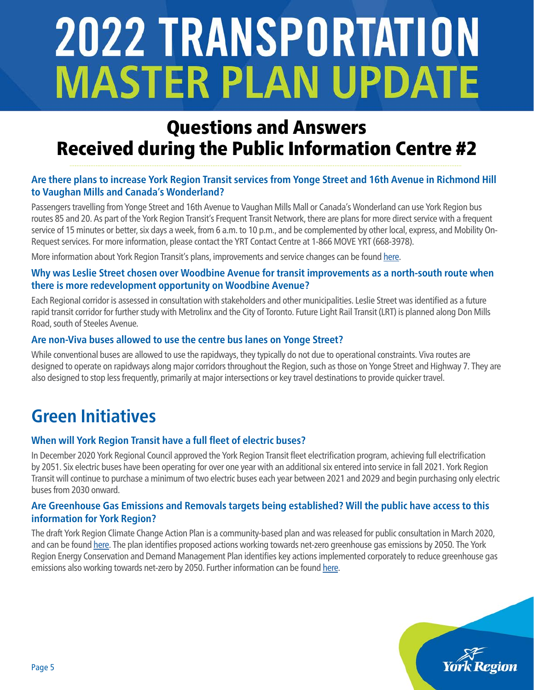## Questions and Answers Received during the Public Information Centre #2

### **Are there plans to increase York Region Transit services from Yonge Street and 16th Avenue in Richmond Hill to Vaughan Mills and Canada's Wonderland?**

Passengers travelling from Yonge Street and 16th Avenue to Vaughan Mills Mall or Canada's Wonderland can use York Region bus routes 85 and 20. As part of the York Region Transit's Frequent Transit Network, there are plans for more direct service with a frequent service of 15 minutes or better, six days a week, from 6 a.m. to 10 p.m., and be complemented by other local, express, and Mobility On-Request services. For more information, please contact the YRT Contact Centre at 1-866 MOVE YRT (668-3978).

More information about York Region Transit's plans, improvements and service changes can be found [here.](https://www.yrt.ca/en/about-us/service-plans.aspx)

#### **Why was Leslie Street chosen over Woodbine Avenue for transit improvements as a north-south route when there is more redevelopment opportunity on Woodbine Avenue?**

Each Regional corridor is assessed in consultation with stakeholders and other municipalities. Leslie Street was identified as a future rapid transit corridor for further study with Metrolinx and the City of Toronto. Future Light Rail Transit (LRT) is planned along Don Mills Road, south of Steeles Avenue.

#### **Are non-Viva buses allowed to use the centre bus lanes on Yonge Street?**

While conventional buses are allowed to use the rapidways, they typically do not due to operational constraints. Viva routes are designed to operate on rapidways along major corridors throughout the Region, such as those on Yonge Street and Highway 7. They are also designed to stop less frequently, primarily at major intersections or key travel destinations to provide quicker travel.

## **Green Initiatives**

#### **When will York Region Transit have a full fleet of electric buses?**

In December 2020 York Regional Council approved the York Region Transit fleet electrification program, achieving full electrification by 2051. Six electric buses have been operating for over one year with an additional six entered into service in fall 2021. York Region Transit will continue to purchase a minimum of two electric buses each year between 2021 and 2029 and begin purchasing only electric buses from 2030 onward.

#### **Are Greenhouse Gas Emissions and Removals targets being established? Will the public have access to this information for York Region?**

The draft York Region Climate Change Action Plan is a community-based plan and was released for public consultation in March 2020, and can be found [here.](https://www.york.ca/wps/wcm/connect/yorkpublic/aedb7bb9-1ccc-4caf-8008-5db8c3a199a6/19102_climateChangeActionPlanMarch2020.pdf?MOD=AJPERES&CVID=n9E1Hij) The plan identifies proposed actions working towards net-zero greenhouse gas emissions by 2050. The York Region Energy Conservation and Demand Management Plan identifies key actions implemented corporately to reduce greenhouse gas emissions also working towards net-zero by 2050. Further information can be found [here.](https://www.york.ca/wps/wcm/connect/yorkpublic/21ce557a-2300-42cc-9d9d-3e4c91d518f7/2019EnergyConservationandDemandManagementPlan.pdf?MOD=AJPERES&CVID=mLVYyAj)

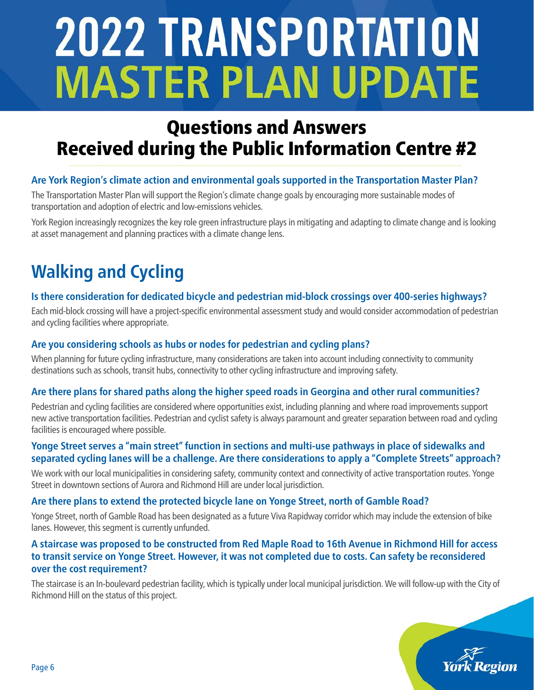## Questions and Answers Received during the Public Information Centre #2

## **Are York Region's climate action and environmental goals supported in the Transportation Master Plan?**

The Transportation Master Plan will support the Region's climate change goals by encouraging more sustainable modes of transportation and adoption of electric and low-emissions vehicles.

York Region increasingly recognizes the key role green infrastructure plays in mitigating and adapting to climate change and is looking at asset management and planning practices with a climate change lens.

# **Walking and Cycling**

### **Is there consideration for dedicated bicycle and pedestrian mid-block crossings over 400-series highways?**

Each mid-block crossing will have a project-specific environmental assessment study and would consider accommodation of pedestrian and cycling facilities where appropriate.

#### **Are you considering schools as hubs or nodes for pedestrian and cycling plans?**

When planning for future cycling infrastructure, many considerations are taken into account including connectivity to community destinations such as schools, transit hubs, connectivity to other cycling infrastructure and improving safety.

#### **Are there plans for shared paths along the higher speed roads in Georgina and other rural communities?**

Pedestrian and cycling facilities are considered where opportunities exist, including planning and where road improvements support new active transportation facilities. Pedestrian and cyclist safety is always paramount and greater separation between road and cycling facilities is encouraged where possible.

#### **Yonge Street serves a "main street" function in sections and multi-use pathways in place of sidewalks and separated cycling lanes will be a challenge. Are there considerations to apply a "Complete Streets" approach?**

We work with our local municipalities in considering safety, community context and connectivity of active transportation routes. Yonge Street in downtown sections of Aurora and Richmond Hill are under local jurisdiction.

#### **Are there plans to extend the protected bicycle lane on Yonge Street, north of Gamble Road?**

Yonge Street, north of Gamble Road has been designated as a future Viva Rapidway corridor which may include the extension of bike lanes. However, this segment is currently unfunded.

#### **A staircase was proposed to be constructed from Red Maple Road to 16th Avenue in Richmond Hill for access to transit service on Yonge Street. However, it was not completed due to costs. Can safety be reconsidered over the cost requirement?**

The staircase is an In-boulevard pedestrian facility, which is typically under local municipal jurisdiction. We will follow-up with the City of Richmond Hill on the status of this project.

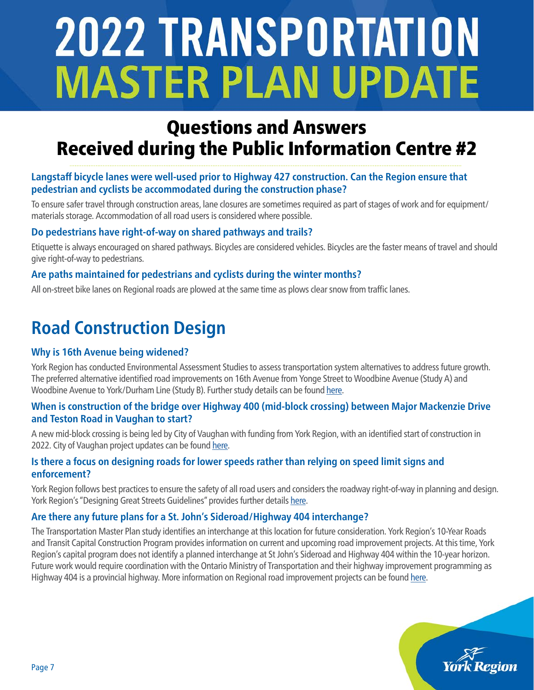## Questions and Answers Received during the Public Information Centre #2

### **Langstaff bicycle lanes were well-used prior to Highway 427 construction. Can the Region ensure that pedestrian and cyclists be accommodated during the construction phase?**

To ensure safer travel through construction areas, lane closures are sometimes required as part of stages of work and for equipment/ materials storage. Accommodation of all road users is considered where possible.

### **Do pedestrians have right-of-way on shared pathways and trails?**

Etiquette is always encouraged on shared pathways. Bicycles are considered vehicles. Bicycles are the faster means of travel and should give right-of-way to pedestrians.

#### **Are paths maintained for pedestrians and cyclists during the winter months?**

All on-street bike lanes on Regional roads are plowed at the same time as plows clear snow from traffic lanes.

## **Road Construction Design**

#### **Why is 16th Avenue being widened?**

York Region has conducted Environmental Assessment Studies to assess transportation system alternatives to address future growth. The preferred alternative identified road improvements on 16th Avenue from Yonge Street to Woodbine Avenue (Study A) and Woodbine Avenue to York/Durham Line (Study B). Further study details can be found [here](https://www.york.ca/wps/portal/yorkhome/transportation/yr/roads/roadconstructionschedule/16thavenue/).

#### **When is construction of the bridge over Highway 400 (mid-block crossing) between Major Mackenzie Drive and Teston Road in Vaughan to start?**

A new mid-block crossing is being led by City of Vaughan with funding from York Region, with an identified start of construction in 2022. City of Vaughan project updates can be found [here](https://www.vaughan.ca/projects/projects_and_studies/CDAAbridge/Pages/default.aspx).

#### **Is there a focus on designing roads for lower speeds rather than relying on speed limit signs and enforcement?**

York Region follows best practices to ensure the safety of all road users and considers the roadway right-of-way in planning and design. York Region's "Designing Great Streets Guidelines" provides further details [here.](https://www.york.ca/wps/wcm/connect/yr_content/yorkconstituent/home/business/landdevelopment/constructiondesignguidelinesandstandards/constructiondesignguidelinesandstandards)

#### **Are there any future plans for a St. John's Sideroad/Highway 404 interchange?**

The Transportation Master Plan study identifies an interchange at this location for future consideration. York Region's 10-Year Roads and Transit Capital Construction Program provides information on current and upcoming road improvement projects. At this time, York Region's capital program does not identify a planned interchange at St John's Sideroad and Highway 404 within the 10-year horizon. Future work would require coordination with the Ontario Ministry of Transportation and their highway improvement programming as Highway 404 is a provincial highway. More information on Regional road improvement projects can be found [here](https://www.york.ca/wps/portal/yorkhome/transportation/yr/roads/roadconstructionschedule/roadimprovementandconstructionprojects/).